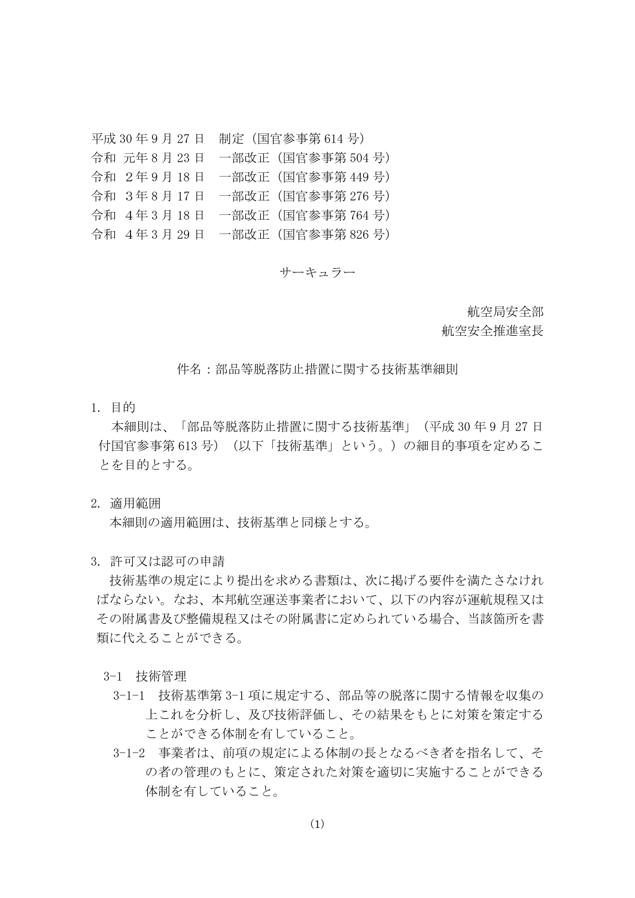平成 30 年 9 月 27 日 制定(国官参事第 614 号) 令和 元年 8 月 23 日 一部改正(国官参事第 504 号) 令和 2年 9 月 18 日 一部改正(国官参事第 449 号) 令和 3年 8 月 17 日 一部改正(国官参事第 276 号) 令和 4年 3 月 18 日 一部改正(国官参事第 764 号) 令和 4年 3 月 29 日 一部改正(国官参事第 826 号)

サーキュラー

航空局安全部

航空安全推進室長

件名:部品等脱落防止措置に関する技術基準細則

1. 目的

本細則は、「部品等脱落防止措置に関する技術基準」(平成 30 年 9 月 27 日 付国官参事第 613 号)(以下「技術基準」という。)の細目的事項を定めるこ とを目的とする。

2. 適用範囲

本細則の適用範囲は、技術基準と同様とする。

3. 許可又は認可の申請

技術基準の規定により提出を求める書類は、次に掲げる要件を満たさなけれ ばならない。なお、本邦航空運送事業者において、以下の内容が運航規程又は その附属書及び整備規程又はその附属書に定められている場合、当該箇所を書 類に代えることができる。

- 3-1 技術管理
	- 3-1-1 技術基準第 3-1 項に規定する、部品等の脱落に関する情報を収集の 上これを分析し、及び技術評価し、その結果をもとに対策を策定する ことができる体制を有していること。
	- 3-1-2 事業者は、前項の規定による体制の長となるべき者を指名して、そ の者の管理のもとに、策定された対策を適切に実施することができる 体制を有していること。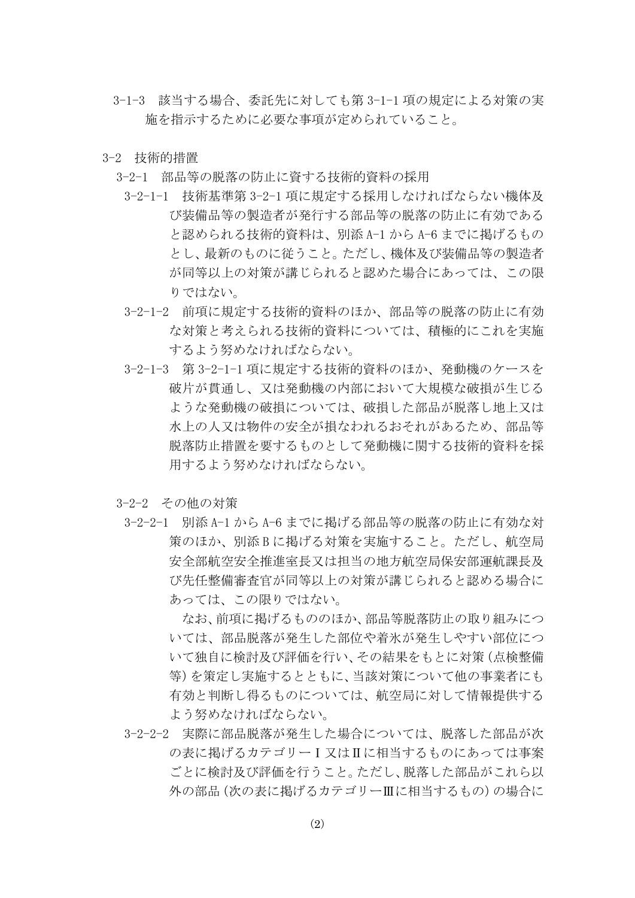- 3-1-3 該当する場合、委託先に対しても第 3-1-1 項の規定による対策の実 施を指示するために必要な事項が定められていること。
- 3-2 技術的措置
	- 3-2-1 部品等の脱落の防止に資する技術的資料の採用
		- 3-2-1-1 技術基準第 3-2-1 項に規定する採用しなければならない機体及 び装備品等の製造者が発行する部品等の脱落の防止に有効である と認められる技術的資料は、別添 A-1 から A-6 までに掲げるもの とし、最新のものに従うこと。ただし、機体及び装備品等の製造者 が同等以上の対策が講じられると認めた場合にあっては、この限 りではない。
		- 3-2-1-2 前項に規定する技術的資料のほか、部品等の脱落の防止に有効 な対策と考えられる技術的資料については、積極的にこれを実施 するよう努めなければならない。
		- 3-2-1-3 第 3-2-1-1 項に規定する技術的資料のほか、発動機のケースを 破片が貫通し、又は発動機の内部において大規模な破損が生じる ような発動機の破損については、破損した部品が脱落し地上又は 水上の人又は物件の安全が損なわれるおそれがあるため、部品等 脱落防止措置を要するものとして発動機に関する技術的資料を採 用するよう努めなければならない。
	- 3-2-2 その他の対策
		- 3-2-2-1 別添 A-1 から A-6 までに掲げる部品等の脱落の防止に有効な対 策のほか、別添 B に掲げる対策を実施すること。ただし、航空局 安全部航空安全推進室長又は担当の地方航空局保安部運航課長及 び先任整備審査官が同等以上の対策が講じられると認める場合に あっては、この限りではない。

なお、前項に掲げるもののほか、部品等脱落防止の取り組みにつ いては、部品脱落が発生した部位や着氷が発生しやすい部位につ いて独自に検討及び評価を行い、その結果をもとに対策(点検整備 等)を策定し実施するとともに、当該対策について他の事業者にも 有効と判断し得るものについては、航空局に対して情報提供する よう努めなければならない。

3-2-2-2 実際に部品脱落が発生した場合については、脱落した部品が次 の表に掲げるカテゴリーⅠ又はⅡに相当するものにあっては事案 ごとに検討及び評価を行うこと。ただし、脱落した部品がこれら以 外の部品(次の表に掲げるカテゴリーⅢに相当するもの)の場合に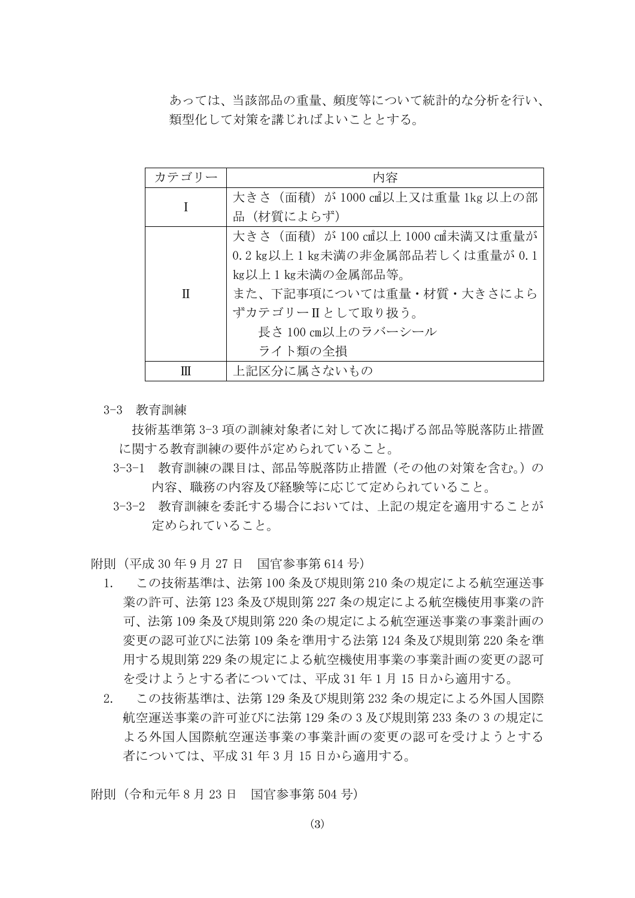あっては、当該部品の重量、頻度等について統計的な分析を行い、 類型化して対策を講じればよいこととする。

| カテゴリー | 内容                               |
|-------|----------------------------------|
|       | 大きさ(面積)が 1000 ㎝以上又は重量 1kg 以上の部   |
|       | 品(材質によらず)                        |
|       | 大きさ(面積)が 100 c㎡以上 1000 c㎡未満又は重量が |
|       | 0.2 kg以上1 kg未満の非金属部品若しくは重量が0.1   |
| Π     | kg以上1kg未満の金属部品等。                 |
|       | また、下記事項については重量・材質・大きさによら         |
|       | ずカテゴリーⅡとして取り扱う。                  |
|       | 長さ 100 cm以上のラバーシール               |
|       | ライト類の全損                          |
| Ш     | 上記区分に属さないもの                      |

3-3 教育訓練

技術基準第 3-3 項の訓練対象者に対して次に掲げる部品等脱落防止措置 に関する教育訓練の要件が定められていること。

- 3-3-1 教育訓練の課目は、部品等脱落防止措置(その他の対策を含む。)の 内容、職務の内容及び経験等に応じて定められていること。
- 3-3-2 教育訓練を委託する場合においては、上記の規定を適用することが 定められていること。

附則(平成 30 年 9 月 27 日 国官参事第 614 号)

- 1. この技術基準は、法第 100 条及び規則第 210 条の規定による航空運送事 業の許可、法第 123 条及び規則第 227 条の規定による航空機使用事業の許 可、法第 109 条及び規則第 220 条の規定による航空運送事業の事業計画の 変更の認可並びに法第 109 条を準用する法第 124 条及び規則第 220 条を準 用する規則第 229 条の規定による航空機使用事業の事業計画の変更の認可 を受けようとする者については、平成 31 年 1 月 15 日から適用する。
- 2. この技術基準は、法第 129 条及び規則第 232 条の規定による外国人国際 航空運送事業の許可並びに法第 129 条の 3 及び規則第 233 条の 3 の規定に よる外国人国際航空運送事業の事業計画の変更の認可を受けようとする 者については、平成 31 年 3 月 15 日から適用する。

附則(令和元年 8 月 23 日 国官参事第 504 号)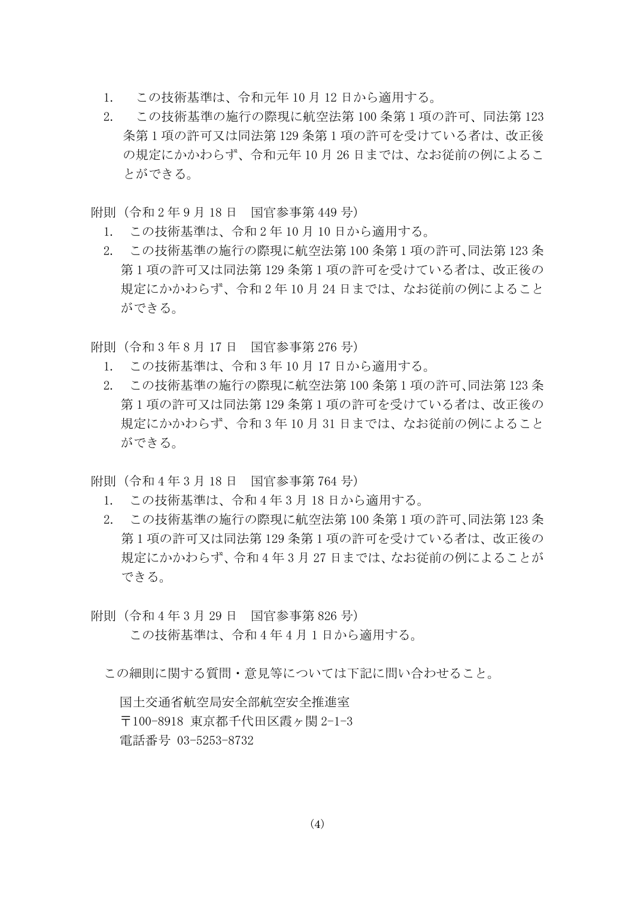- 1. この技術基準は、令和元年 10 月 12 日から適用する。
- 2. この技術基準の施行の際現に航空法第 100 条第 1 項の許可、同法第 123 条第 1 項の許可又は同法第 129 条第 1 項の許可を受けている者は、改正後 の規定にかかわらず、令和元年 10 月 26 日までは、なお従前の例によるこ とができる。
- 附則(令和 2 年 9 月 18 日 国官参事第 449 号)
	- 1. この技術基準は、令和 2 年 10 月 10 日から適用する。
	- 2. この技術基準の施行の際現に航空法第 100 条第 1 項の許可、同法第 123 条 第 1 項の許可又は同法第 129 条第 1 項の許可を受けている者は、改正後の 規定にかかわらず、令和 2 年 10 月 24 日までは、なお従前の例によること ができる。
- 附則(令和 3 年 8 月 17 日 国官参事第 276 号)
	- 1. この技術基準は、令和 3 年 10 月 17 日から適用する。
	- 2. この技術基準の施行の際現に航空法第 100 条第 1 項の許可、同法第 123 条 第 1 項の許可又は同法第 129 条第 1 項の許可を受けている者は、改正後の 規定にかかわらず、令和 3 年 10 月 31 日までは、なお従前の例によること ができる。
- 附則(令和 4 年 3 月 18 日 国官参事第 764 号)
	- 1. この技術基準は、令和 4 年 3 月 18 日から適用する。
	- 2. この技術基準の施行の際現に航空法第 100 条第 1 項の許可、同法第 123 条 第 1 項の許可又は同法第 129 条第 1 項の許可を受けている者は、改正後の 規定にかかわらず、令和 4 年 3 月 27 日までは、なお従前の例によることが できる。
- 附則(令和 4 年 3 月 29 日 国官参事第 826 号) この技術基準は、令和 4 年 4 月 1 日から適用する。
	- この細則に関する質問・意見等については下記に問い合わせること。

国土交通省航空局安全部航空安全推進室 〒100-8918 東京都千代田区霞ヶ関 2-1-3 電話番号 03-5253-8732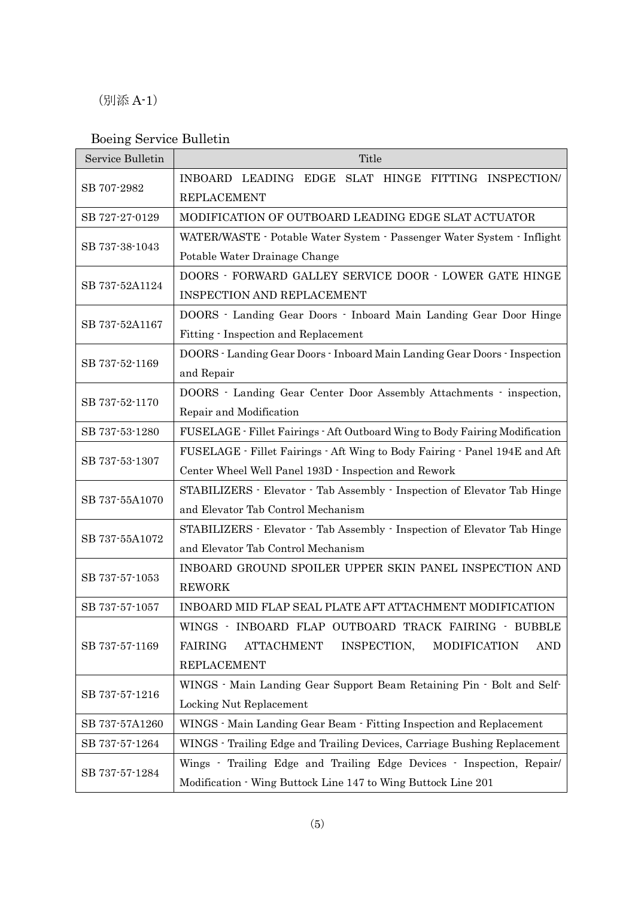## (別添 A-1)

## Boeing Service Bulletin

| Service Bulletin | Title                                                                                                                                                          |
|------------------|----------------------------------------------------------------------------------------------------------------------------------------------------------------|
| SB 707-2982      | INBOARD LEADING EDGE SLAT HINGE FITTING INSPECTION/<br><b>REPLACEMENT</b>                                                                                      |
| SB 727-27-0129   | MODIFICATION OF OUTBOARD LEADING EDGE SLAT ACTUATOR                                                                                                            |
| SB 737-38-1043   | WATER/WASTE - Potable Water System - Passenger Water System - Inflight<br>Potable Water Drainage Change                                                        |
| SB 737-52A1124   | DOORS - FORWARD GALLEY SERVICE DOOR - LOWER GATE HINGE<br>INSPECTION AND REPLACEMENT                                                                           |
| SB 737-52A1167   | DOORS - Landing Gear Doors - Inboard Main Landing Gear Door Hinge<br>Fitting - Inspection and Replacement                                                      |
| SB 737-52-1169   | DOORS - Landing Gear Doors - Inboard Main Landing Gear Doors - Inspection<br>and Repair                                                                        |
| SB 737-52-1170   | DOORS · Landing Gear Center Door Assembly Attachments · inspection,<br>Repair and Modification                                                                 |
| SB 737-53-1280   | FUSELAGE - Fillet Fairings - Aft Outboard Wing to Body Fairing Modification                                                                                    |
| SB 737-53-1307   | FUSELAGE - Fillet Fairings - Aft Wing to Body Fairing - Panel 194E and Aft<br>Center Wheel Well Panel 193D - Inspection and Rework                             |
| SB 737-55A1070   | STABILIZERS · Elevator · Tab Assembly · Inspection of Elevator Tab Hinge<br>and Elevator Tab Control Mechanism                                                 |
| SB 737-55A1072   | STABILIZERS · Elevator · Tab Assembly · Inspection of Elevator Tab Hinge<br>and Elevator Tab Control Mechanism                                                 |
| SB 737-57-1053   | INBOARD GROUND SPOILER UPPER SKIN PANEL INSPECTION AND<br><b>REWORK</b>                                                                                        |
| SB 737-57-1057   | INBOARD MID FLAP SEAL PLATE AFT ATTACHMENT MODIFICATION                                                                                                        |
| SB 737-57-1169   | WINGS · INBOARD FLAP OUTBOARD TRACK FAIRING · BUBBLE<br><b>FAIRING</b><br><b>ATTACHMENT</b><br>INSPECTION,<br>MODIFICATION<br><b>AND</b><br><b>REPLACEMENT</b> |
| SB 737-57-1216   | WINGS - Main Landing Gear Support Beam Retaining Pin - Bolt and Self-<br>Locking Nut Replacement                                                               |
| SB 737-57A1260   | WINGS - Main Landing Gear Beam - Fitting Inspection and Replacement                                                                                            |
| SB 737-57-1264   | WINGS - Trailing Edge and Trailing Devices, Carriage Bushing Replacement                                                                                       |
| SB 737-57-1284   | Wings - Trailing Edge and Trailing Edge Devices - Inspection, Repair/<br>Modification - Wing Buttock Line 147 to Wing Buttock Line 201                         |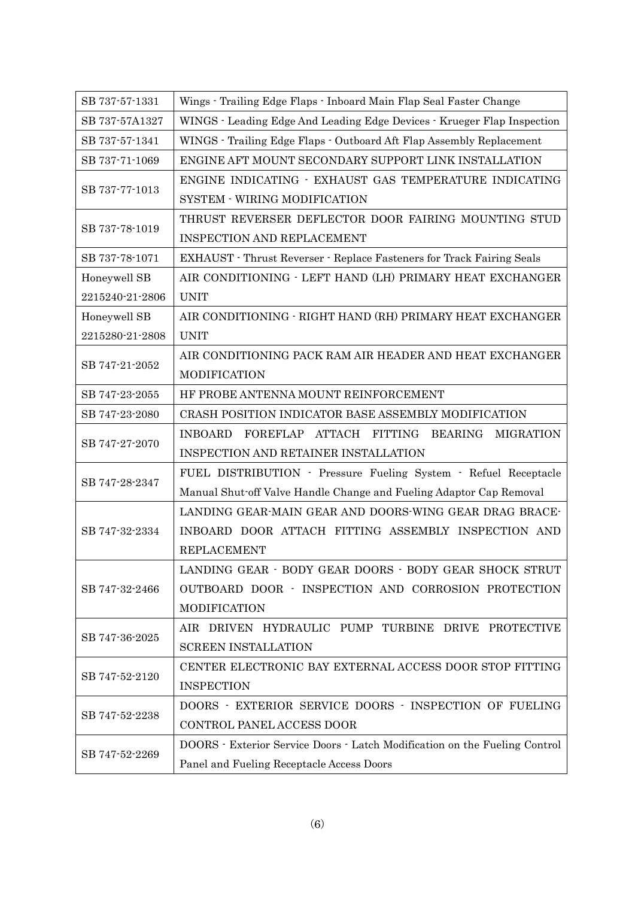| SB 737-57-1331  | Wings - Trailing Edge Flaps - Inboard Main Flap Seal Faster Change         |
|-----------------|----------------------------------------------------------------------------|
| SB 737-57A1327  | WINGS - Leading Edge And Leading Edge Devices - Krueger Flap Inspection    |
| SB 737-57-1341  | WINGS - Trailing Edge Flaps - Outboard Aft Flap Assembly Replacement       |
| SB 737-71-1069  | ENGINE AFT MOUNT SECONDARY SUPPORT LINK INSTALLATION                       |
| SB 737-77-1013  | ENGINE INDICATING - EXHAUST GAS TEMPERATURE INDICATING                     |
|                 | SYSTEM - WIRING MODIFICATION                                               |
|                 | THRUST REVERSER DEFLECTOR DOOR FAIRING MOUNTING STUD                       |
| SB 737-78-1019  | <b>INSPECTION AND REPLACEMENT</b>                                          |
| SB 737-78-1071  | EXHAUST - Thrust Reverser - Replace Fasteners for Track Fairing Seals      |
| Honeywell SB    | AIR CONDITIONING - LEFT HAND (LH) PRIMARY HEAT EXCHANGER                   |
| 2215240-21-2806 | <b>UNIT</b>                                                                |
| Honeywell SB    | AIR CONDITIONING - RIGHT HAND (RH) PRIMARY HEAT EXCHANGER                  |
| 2215280-21-2808 | <b>UNIT</b>                                                                |
| SB 747-21-2052  | AIR CONDITIONING PACK RAM AIR HEADER AND HEAT EXCHANGER                    |
|                 | MODIFICATION                                                               |
| SB 747-23-2055  | HF PROBE ANTENNA MOUNT REINFORCEMENT                                       |
| SB 747-23-2080  | CRASH POSITION INDICATOR BASE ASSEMBLY MODIFICATION                        |
| SB 747-27-2070  | FOREFLAP ATTACH FITTING BEARING<br><b>MIGRATION</b><br><b>INBOARD</b>      |
|                 | INSPECTION AND RETAINER INSTALLATION                                       |
| SB 747-28-2347  | FUEL DISTRIBUTION - Pressure Fueling System - Refuel Receptacle            |
|                 | Manual Shut-off Valve Handle Change and Fueling Adaptor Cap Removal        |
|                 | LANDING GEAR-MAIN GEAR AND DOORS-WING GEAR DRAG BRACE-                     |
| SB 747-32-2334  | INBOARD DOOR ATTACH FITTING ASSEMBLY INSPECTION AND                        |
|                 | <b>REPLACEMENT</b>                                                         |
|                 | LANDING GEAR - BODY GEAR DOORS - BODY GEAR SHOCK STRUT                     |
| SB 747-32-2466  | OUTBOARD DOOR - INSPECTION AND CORROSION PROTECTION                        |
|                 | MODIFICATION                                                               |
| SB 747-36-2025  | AIR DRIVEN HYDRAULIC PUMP TURBINE DRIVE PROTECTIVE                         |
|                 | <b>SCREEN INSTALLATION</b>                                                 |
|                 | CENTER ELECTRONIC BAY EXTERNAL ACCESS DOOR STOP FITTING                    |
| SB 747-52-2120  | <b>INSPECTION</b>                                                          |
| SB 747-52-2238  | DOORS - EXTERIOR SERVICE DOORS - INSPECTION OF FUELING                     |
|                 | CONTROL PANEL ACCESS DOOR                                                  |
| SB 747-52-2269  | DOORS · Exterior Service Doors · Latch Modification on the Fueling Control |
|                 | Panel and Fueling Receptacle Access Doors                                  |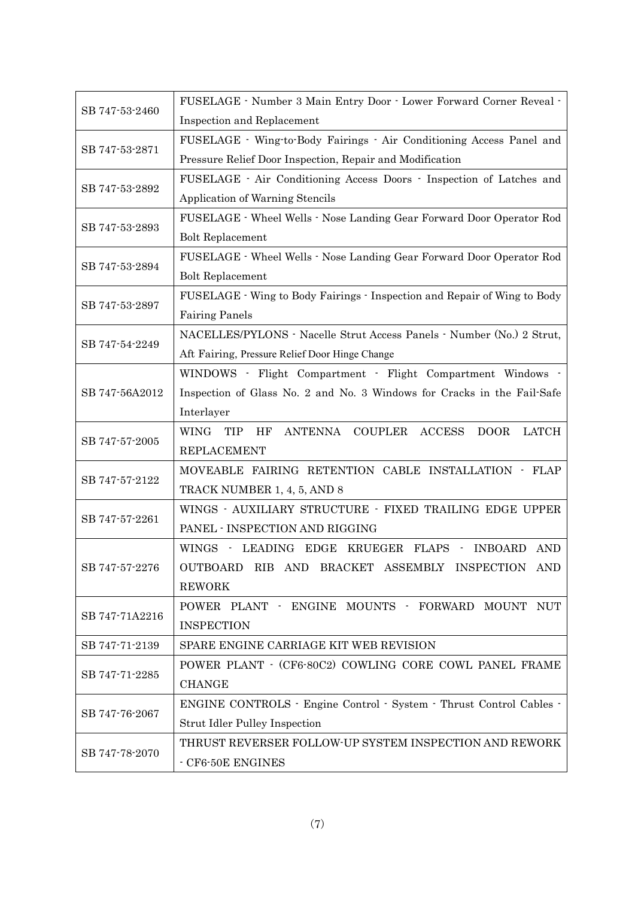| SB 747-53-2460 | FUSELAGE - Number 3 Main Entry Door - Lower Forward Corner Reveal -               |
|----------------|-----------------------------------------------------------------------------------|
|                | Inspection and Replacement                                                        |
| SB 747-53-2871 | FUSELAGE · Wing-to-Body Fairings · Air Conditioning Access Panel and              |
|                | Pressure Relief Door Inspection, Repair and Modification                          |
| SB 747-53-2892 | FUSELAGE · Air Conditioning Access Doors · Inspection of Latches and              |
|                | Application of Warning Stencils                                                   |
|                | FUSELAGE - Wheel Wells - Nose Landing Gear Forward Door Operator Rod              |
| SB 747-53-2893 | <b>Bolt Replacement</b>                                                           |
|                | FUSELAGE - Wheel Wells - Nose Landing Gear Forward Door Operator Rod              |
| SB 747-53-2894 | <b>Bolt Replacement</b>                                                           |
|                | FUSELAGE - Wing to Body Fairings - Inspection and Repair of Wing to Body          |
| SB 747-53-2897 | <b>Fairing Panels</b>                                                             |
|                | NACELLES/PYLONS · Nacelle Strut Access Panels · Number (No.) 2 Strut,             |
| SB 747-54-2249 | Aft Fairing, Pressure Relief Door Hinge Change                                    |
|                | WINDOWS - Flight Compartment - Flight Compartment Windows -                       |
| SB 747-56A2012 | Inspection of Glass No. 2 and No. 3 Windows for Cracks in the Fail-Safe           |
|                | Interlayer                                                                        |
|                | WING<br>ANTENNA COUPLER<br><b>ACCESS</b><br><b>LATCH</b><br>TIP HF<br><b>DOOR</b> |
| SB 747-57-2005 | <b>REPLACEMENT</b>                                                                |
|                | MOVEABLE FAIRING RETENTION CABLE INSTALLATION - FLAP                              |
| SB 747-57-2122 | TRACK NUMBER 1, 4, 5, AND 8                                                       |
|                | WINGS - AUXILIARY STRUCTURE - FIXED TRAILING EDGE UPPER                           |
| SB 747-57-2261 | PANEL - INSPECTION AND RIGGING                                                    |
|                | WINGS - LEADING EDGE KRUEGER FLAPS - INBOARD AND                                  |
| SB 747-57-2276 | OUTBOARD RIB AND BRACKET ASSEMBLY INSPECTION AND                                  |
|                | <b>REWORK</b>                                                                     |
|                | POWER PLANT · ENGINE MOUNTS · FORWARD MOUNT NUT                                   |
| SB 747-71A2216 | <b>INSPECTION</b>                                                                 |
| SB 747-71-2139 | SPARE ENGINE CARRIAGE KIT WEB REVISION                                            |
| SB 747-71-2285 | POWER PLANT - (CF6-80C2) COWLING CORE COWL PANEL FRAME                            |
|                | <b>CHANGE</b>                                                                     |
|                | ENGINE CONTROLS - Engine Control - System - Thrust Control Cables -               |
| SB 747-76-2067 | <b>Strut Idler Pulley Inspection</b>                                              |
|                | THRUST REVERSER FOLLOW-UP SYSTEM INSPECTION AND REWORK                            |
| SB 747-78-2070 | - CF6-50E ENGINES                                                                 |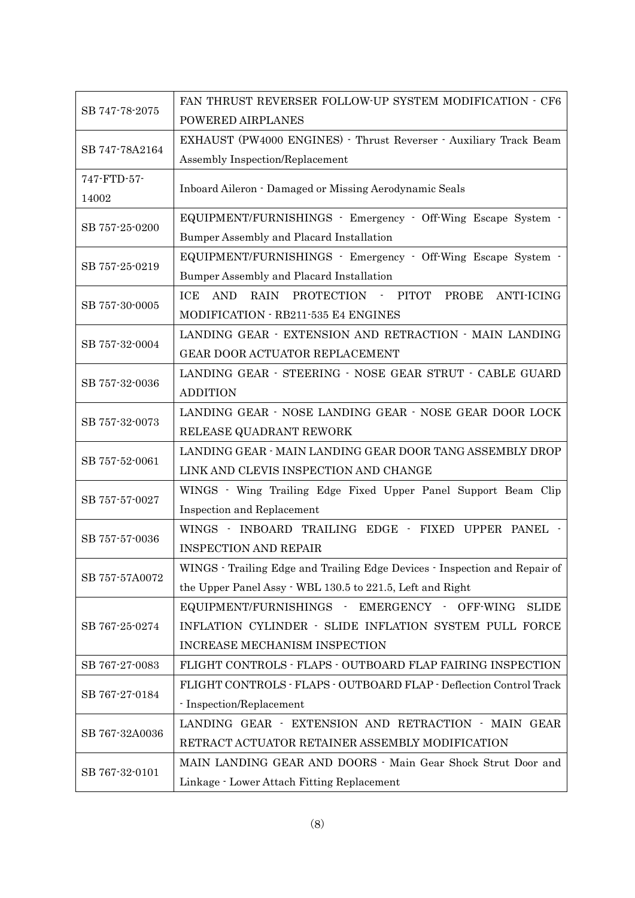| SB 747-78-2075 | FAN THRUST REVERSER FOLLOW-UP SYSTEM MODIFICATION - CF6                              |
|----------------|--------------------------------------------------------------------------------------|
|                | POWERED AIRPLANES                                                                    |
| SB 747-78A2164 | EXHAUST (PW4000 ENGINES) · Thrust Reverser · Auxiliary Track Beam                    |
|                | Assembly Inspection/Replacement                                                      |
| 747-FTD-57-    |                                                                                      |
| 14002          | Inboard Aileron - Damaged or Missing Aerodynamic Seals                               |
| SB 757-25-0200 | EQUIPMENT/FURNISHINGS - Emergency - Off-Wing Escape System -                         |
|                | Bumper Assembly and Placard Installation                                             |
| SB 757-25-0219 | EQUIPMENT/FURNISHINGS - Emergency - Off-Wing Escape System -                         |
|                | Bumper Assembly and Placard Installation                                             |
|                | <b>RAIN</b><br>PROTECTION - PITOT<br><b>ANTI-ICING</b><br>ICE<br><b>AND</b><br>PROBE |
| SB 757-30-0005 | MODIFICATION - RB211-535 E4 ENGINES                                                  |
|                | LANDING GEAR - EXTENSION AND RETRACTION - MAIN LANDING                               |
| SB 757-32-0004 | GEAR DOOR ACTUATOR REPLACEMENT                                                       |
|                | LANDING GEAR - STEERING - NOSE GEAR STRUT - CABLE GUARD                              |
| SB 757-32-0036 | <b>ADDITION</b>                                                                      |
|                | LANDING GEAR - NOSE LANDING GEAR - NOSE GEAR DOOR LOCK                               |
| SB 757-32-0073 | RELEASE QUADRANT REWORK                                                              |
|                | LANDING GEAR - MAIN LANDING GEAR DOOR TANG ASSEMBLY DROP                             |
| SB 757-52-0061 | LINK AND CLEVIS INSPECTION AND CHANGE                                                |
|                | WINGS - Wing Trailing Edge Fixed Upper Panel Support Beam Clip                       |
| SB 757-57-0027 | Inspection and Replacement                                                           |
|                | WINGS · INBOARD TRAILING EDGE · FIXED UPPER PANEL ·                                  |
| SB 757-57-0036 | <b>INSPECTION AND REPAIR</b>                                                         |
|                | WINGS - Trailing Edge and Trailing Edge Devices - Inspection and Repair of           |
| SB 757-57A0072 | the Upper Panel Assy - WBL 130.5 to 221.5, Left and Right                            |
|                | EQUIPMENT/FURNISHINGS - EMERGENCY - OFF-WING<br><b>SLIDE</b>                         |
| SB 767-25-0274 | INFLATION CYLINDER - SLIDE INFLATION SYSTEM PULL FORCE                               |
|                | INCREASE MECHANISM INSPECTION                                                        |
| SB 767-27-0083 | FLIGHT CONTROLS - FLAPS - OUTBOARD FLAP FAIRING INSPECTION                           |
|                | FLIGHT CONTROLS - FLAPS - OUTBOARD FLAP - Deflection Control Track                   |
| SB 767-27-0184 | - Inspection/Replacement                                                             |
| SB 767-32A0036 | LANDING GEAR - EXTENSION AND RETRACTION - MAIN GEAR                                  |
|                | RETRACT ACTUATOR RETAINER ASSEMBLY MODIFICATION                                      |
|                | MAIN LANDING GEAR AND DOORS - Main Gear Shock Strut Door and                         |
| SB 767-32-0101 | Linkage - Lower Attach Fitting Replacement                                           |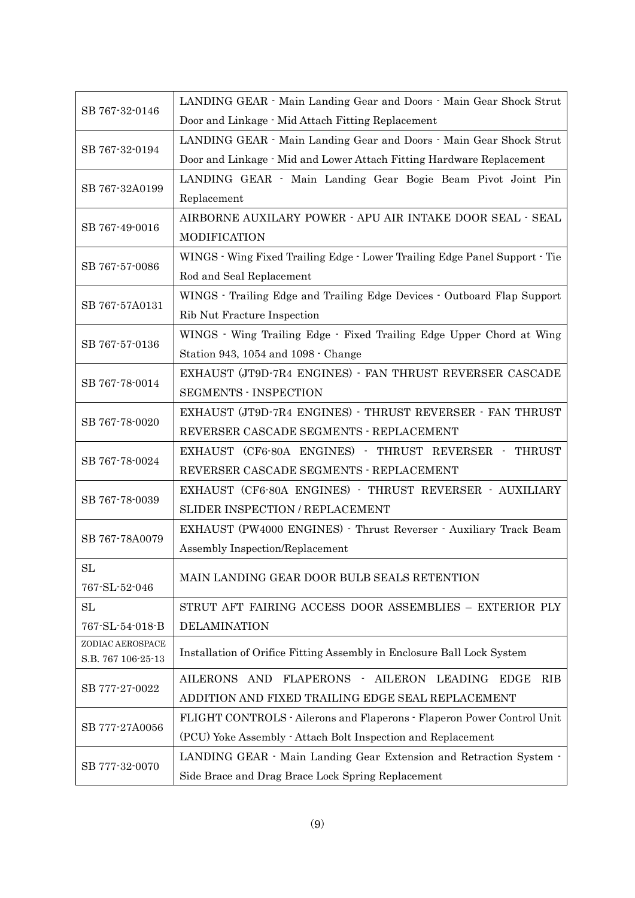| SB 767-32-0146     | LANDING GEAR - Main Landing Gear and Doors - Main Gear Shock Strut<br>Door and Linkage - Mid Attach Fitting Replacement |
|--------------------|-------------------------------------------------------------------------------------------------------------------------|
| SB 767-32-0194     | LANDING GEAR · Main Landing Gear and Doors · Main Gear Shock Strut                                                      |
|                    |                                                                                                                         |
|                    | Door and Linkage - Mid and Lower Attach Fitting Hardware Replacement                                                    |
| SB 767-32A0199     | LANDING GEAR · Main Landing Gear Bogie Beam Pivot Joint Pin                                                             |
|                    | Replacement                                                                                                             |
| SB 767-49-0016     | AIRBORNE AUXILARY POWER - APU AIR INTAKE DOOR SEAL - SEAL                                                               |
|                    | <b>MODIFICATION</b>                                                                                                     |
| SB 767-57-0086     | WINGS · Wing Fixed Trailing Edge · Lower Trailing Edge Panel Support · Tie                                              |
|                    | Rod and Seal Replacement                                                                                                |
|                    | WINGS · Trailing Edge and Trailing Edge Devices · Outboard Flap Support                                                 |
| SB 767-57A0131     | Rib Nut Fracture Inspection                                                                                             |
| SB 767-57-0136     | WINGS · Wing Trailing Edge · Fixed Trailing Edge Upper Chord at Wing                                                    |
|                    | Station 943, 1054 and 1098 · Change                                                                                     |
|                    | EXHAUST (JT9D-7R4 ENGINES) - FAN THRUST REVERSER CASCADE                                                                |
| SB 767-78-0014     | <b>SEGMENTS - INSPECTION</b>                                                                                            |
|                    | EXHAUST (JT9D-7R4 ENGINES) - THRUST REVERSER - FAN THRUST                                                               |
| SB 767-78-0020     | REVERSER CASCADE SEGMENTS - REPLACEMENT                                                                                 |
|                    | EXHAUST (CF6-80A ENGINES) - THRUST REVERSER - THRUST                                                                    |
| SB 767-78-0024     | REVERSER CASCADE SEGMENTS - REPLACEMENT                                                                                 |
|                    | EXHAUST (CF6-80A ENGINES) - THRUST REVERSER - AUXILIARY                                                                 |
| SB 767-78-0039     | SLIDER INSPECTION / REPLACEMENT                                                                                         |
|                    | EXHAUST (PW4000 ENGINES) - Thrust Reverser - Auxiliary Track Beam                                                       |
| SB 767-78A0079     | Assembly Inspection/Replacement                                                                                         |
| SL                 |                                                                                                                         |
| 767-SL-52-046      | MAIN LANDING GEAR DOOR BULB SEALS RETENTION                                                                             |
| SL                 | STRUT AFT FAIRING ACCESS DOOR ASSEMBLIES - EXTERIOR PLY                                                                 |
| 767-SL-54-018-B    | <b>DELAMINATION</b>                                                                                                     |
| ZODIAC AEROSPACE   | Installation of Orifice Fitting Assembly in Enclosure Ball Lock System                                                  |
| S.B. 767 106-25-13 |                                                                                                                         |
| SB 777-27-0022     | FLAPERONS -<br>AILERONS AND<br><b>AILERON</b><br>LEADING<br><b>EDGE</b><br><b>RIB</b>                                   |
|                    | ADDITION AND FIXED TRAILING EDGE SEAL REPLACEMENT                                                                       |
|                    | FLIGHT CONTROLS - Ailerons and Flaperons - Flaperon Power Control Unit                                                  |
| SB 777-27A0056     | (PCU) Yoke Assembly - Attach Bolt Inspection and Replacement                                                            |
| SB 777-32-0070     | LANDING GEAR · Main Landing Gear Extension and Retraction System ·                                                      |
|                    | Side Brace and Drag Brace Lock Spring Replacement                                                                       |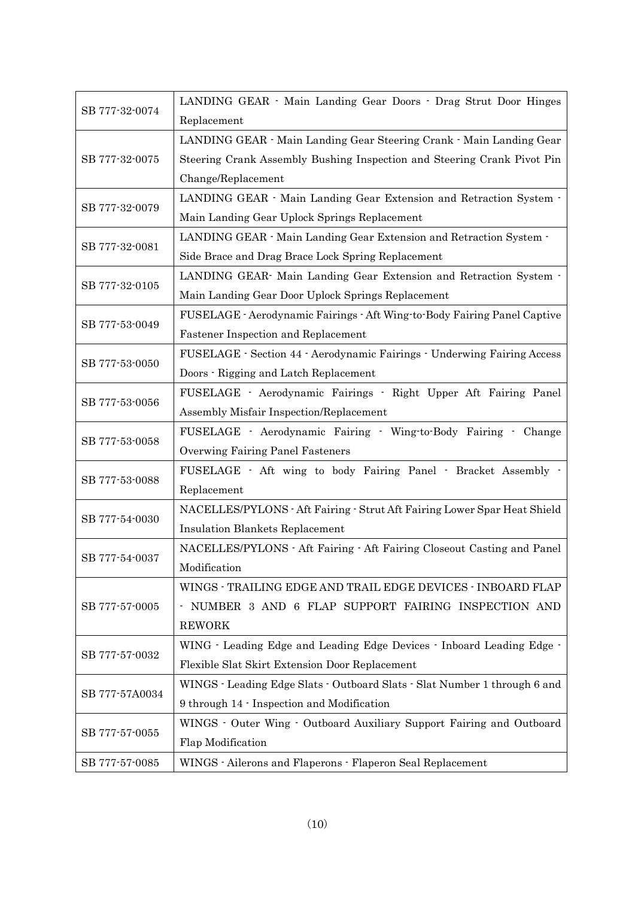| SB 777-32-0074 | LANDING GEAR · Main Landing Gear Doors · Drag Strut Door Hinges           |
|----------------|---------------------------------------------------------------------------|
|                | Replacement                                                               |
| SB 777-32-0075 | LANDING GEAR · Main Landing Gear Steering Crank · Main Landing Gear       |
|                | Steering Crank Assembly Bushing Inspection and Steering Crank Pivot Pin   |
|                | Change/Replacement                                                        |
|                | LANDING GEAR · Main Landing Gear Extension and Retraction System ·        |
| SB 777-32-0079 | Main Landing Gear Uplock Springs Replacement                              |
|                | LANDING GEAR · Main Landing Gear Extension and Retraction System ·        |
| SB 777-32-0081 | Side Brace and Drag Brace Lock Spring Replacement                         |
|                | LANDING GEAR Main Landing Gear Extension and Retraction System -          |
| SB 777-32-0105 | Main Landing Gear Door Uplock Springs Replacement                         |
|                | FUSELAGE - Aerodynamic Fairings - Aft Wing-to-Body Fairing Panel Captive  |
| SB 777-53-0049 | <b>Fastener Inspection and Replacement</b>                                |
|                | FUSELAGE - Section 44 - Aerodynamic Fairings - Underwing Fairing Access   |
| SB 777-53-0050 | Doors - Rigging and Latch Replacement                                     |
|                | FUSELAGE - Aerodynamic Fairings - Right Upper Aft Fairing Panel           |
| SB 777-53-0056 | Assembly Misfair Inspection/Replacement                                   |
|                | FUSELAGE - Aerodynamic Fairing - Wing-to-Body Fairing - Change            |
| SB 777-53-0058 | Overwing Fairing Panel Fasteners                                          |
|                | FUSELAGE - Aft wing to body Fairing Panel - Bracket Assembly -            |
| SB 777-53-0088 | Replacement                                                               |
| SB 777-54-0030 | NACELLES/PYLONS - Aft Fairing - Strut Aft Fairing Lower Spar Heat Shield  |
|                | <b>Insulation Blankets Replacement</b>                                    |
|                | NACELLES/PYLONS - Aft Fairing - Aft Fairing Closeout Casting and Panel    |
| SB 777-54-0037 | Modification                                                              |
|                | WINGS - TRAILING EDGE AND TRAIL EDGE DEVICES - INBOARD FLAP               |
| SB 777-57-0005 | - NUMBER 3 AND 6 FLAP SUPPORT FAIRING INSPECTION AND                      |
|                | <b>REWORK</b>                                                             |
|                | WING · Leading Edge and Leading Edge Devices · Inboard Leading Edge ·     |
| SB 777-57-0032 | Flexible Slat Skirt Extension Door Replacement                            |
| SB 777-57A0034 | WINGS - Leading Edge Slats - Outboard Slats - Slat Number 1 through 6 and |
|                | 9 through 14 · Inspection and Modification                                |
| SB 777-57-0055 | WINGS · Outer Wing · Outboard Auxiliary Support Fairing and Outboard      |
|                | Flap Modification                                                         |
| SB 777-57-0085 | WINGS - Ailerons and Flaperons - Flaperon Seal Replacement                |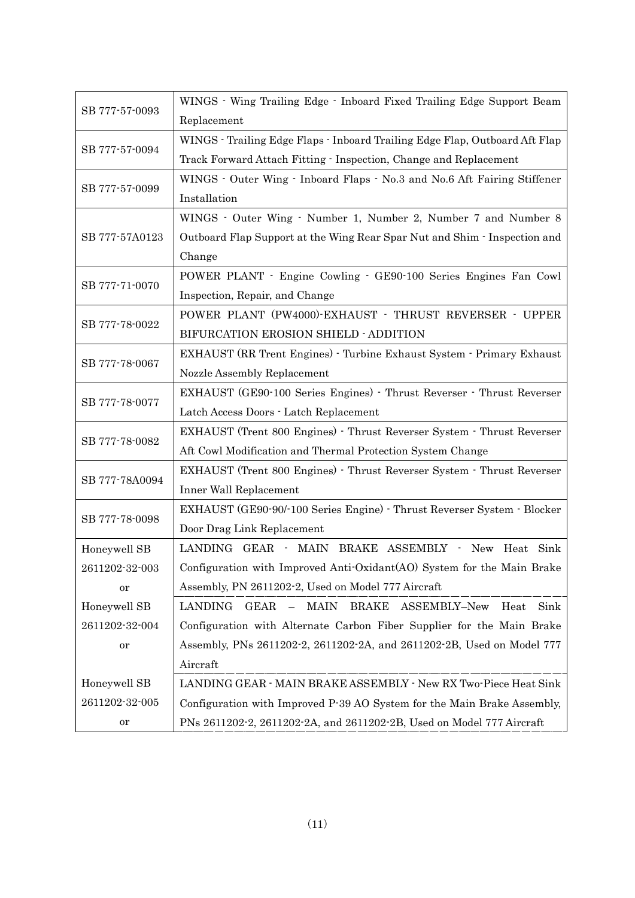| SB 777-57-0093 | WINGS · Wing Trailing Edge · Inboard Fixed Trailing Edge Support Beam               |
|----------------|-------------------------------------------------------------------------------------|
|                | Replacement                                                                         |
| SB 777-57-0094 | WINGS - Trailing Edge Flaps - Inboard Trailing Edge Flap, Outboard Aft Flap         |
|                | Track Forward Attach Fitting - Inspection, Change and Replacement                   |
| SB 777-57-0099 | WINGS · Outer Wing · Inboard Flaps · No.3 and No.6 Aft Fairing Stiffener            |
|                | Installation                                                                        |
|                | WINGS · Outer Wing · Number 1, Number 2, Number 7 and Number 8                      |
| SB 777-57A0123 | Outboard Flap Support at the Wing Rear Spar Nut and Shim - Inspection and           |
|                | Change                                                                              |
|                | POWER PLANT - Engine Cowling - GE90-100 Series Engines Fan Cowl                     |
| SB 777-71-0070 | Inspection, Repair, and Change                                                      |
|                | POWER PLANT (PW4000)-EXHAUST - THRUST REVERSER - UPPER                              |
| SB 777-78-0022 | BIFURCATION EROSION SHIELD - ADDITION                                               |
|                | EXHAUST (RR Trent Engines) - Turbine Exhaust System - Primary Exhaust               |
| SB 777-78-0067 | Nozzle Assembly Replacement                                                         |
|                | EXHAUST (GE90-100 Series Engines) - Thrust Reverser - Thrust Reverser               |
| SB 777-78-0077 | Latch Access Doors - Latch Replacement                                              |
|                | EXHAUST (Trent 800 Engines) - Thrust Reverser System - Thrust Reverser              |
| SB 777-78-0082 | Aft Cowl Modification and Thermal Protection System Change                          |
|                | EXHAUST (Trent 800 Engines) - Thrust Reverser System - Thrust Reverser              |
| SB 777-78A0094 | Inner Wall Replacement                                                              |
|                | EXHAUST (GE90-90/-100 Series Engine) - Thrust Reverser System - Blocker             |
| SB 777-78-0098 | Door Drag Link Replacement                                                          |
| Honeywell SB   | LANDING GEAR - MAIN BRAKE ASSEMBLY - New Heat Sink                                  |
| 2611202-32-003 | Configuration with Improved Anti-Oxidant(AO) System for the Main Brake              |
| or             | Assembly, PN 2611202-2, Used on Model 777 Aircraft                                  |
| Honeywell SB   | LANDING<br>GEAR<br>MAIN<br><b>BRAKE</b><br>ASSEMBLY-New<br>Heat<br>Sink<br>$\equiv$ |
| 2611202-32-004 | Configuration with Alternate Carbon Fiber Supplier for the Main Brake               |
| or             | Assembly, PNs 2611202-2, 2611202-2A, and 2611202-2B, Used on Model 777              |
|                | Aircraft                                                                            |
| Honeywell SB   | LANDING GEAR - MAIN BRAKE ASSEMBLY - New RX Two-Piece Heat Sink                     |
| 2611202-32-005 | Configuration with Improved P-39 AO System for the Main Brake Assembly,             |
| or             | PNs 2611202-2, 2611202-2A, and 2611202-2B, Used on Model 777 Aircraft               |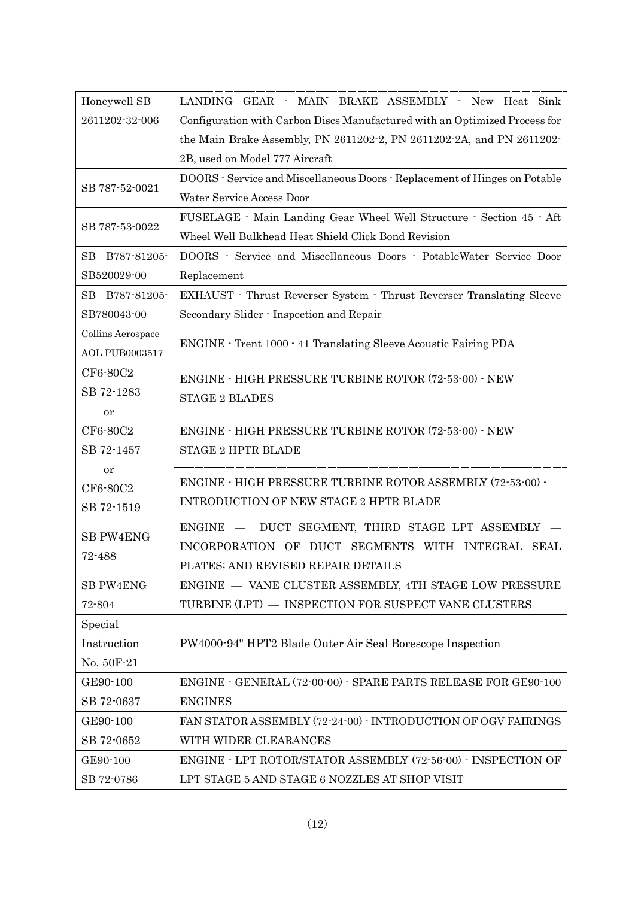| Honeywell SB               | LANDING GEAR - MAIN BRAKE ASSEMBLY - New Heat Sink                         |
|----------------------------|----------------------------------------------------------------------------|
| 2611202-32-006             | Configuration with Carbon Discs Manufactured with an Optimized Process for |
|                            | the Main Brake Assembly, PN 2611202-2, PN 2611202-2A, and PN 2611202-      |
|                            | 2B, used on Model 777 Aircraft                                             |
|                            | DOORS - Service and Miscellaneous Doors - Replacement of Hinges on Potable |
| SB 787-52-0021             | Water Service Access Door                                                  |
|                            | FUSELAGE · Main Landing Gear Wheel Well Structure · Section 45 · Aft       |
| SB 787-53-0022             | Wheel Well Bulkhead Heat Shield Click Bond Revision                        |
| B787-81205-<br>$_{\rm SB}$ | DOORS - Service and Miscellaneous Doors - PotableWater Service Door        |
| SB520029-00                | Replacement                                                                |
| B787-81205-<br>SВ          | EXHAUST · Thrust Reverser System · Thrust Reverser Translating Sleeve      |
| SB780043-00                | Secondary Slider - Inspection and Repair                                   |
| Collins Aerospace          |                                                                            |
| <b>AOL PUB0003517</b>      | ENGINE - Trent 1000 - 41 Translating Sleeve Acoustic Fairing PDA           |
| CF6-80C2                   | <b>ENGINE - HIGH PRESSURE TURBINE ROTOR (72-53-00) - NEW</b>               |
| SB 72-1283                 | <b>STAGE 2 BLADES</b>                                                      |
| or                         |                                                                            |
| CF6-80C2                   | <b>ENGINE - HIGH PRESSURE TURBINE ROTOR (72-53-00) - NEW</b>               |
| SB 72-1457                 | <b>STAGE 2 HPTR BLADE</b>                                                  |
| or                         |                                                                            |
| CF6-80C2                   | ENGINE - HIGH PRESSURE TURBINE ROTOR ASSEMBLY (72-53-00) -                 |
| SB 72-1519                 | INTRODUCTION OF NEW STAGE 2 HPTR BLADE                                     |
|                            | DUCT SEGMENT, THIRD STAGE LPT ASSEMBLY<br>$ENGINE$ $-$                     |
| <b>SB PW4ENG</b>           | INCORPORATION OF DUCT SEGMENTS WITH INTEGRAL SEAL                          |
| 72-488                     | PLATES; AND REVISED REPAIR DETAILS                                         |
| SB PW4ENG                  | ENGINE - VANE CLUSTER ASSEMBLY, 4TH STAGE LOW PRESSURE                     |
| 72-804                     | TURBINE (LPT) - INSPECTION FOR SUSPECT VANE CLUSTERS                       |
| Special                    |                                                                            |
| Instruction                | PW4000-94" HPT2 Blade Outer Air Seal Borescope Inspection                  |
| No. 50F-21                 |                                                                            |
| GE90-100                   | ENGINE - GENERAL (72-00-00) - SPARE PARTS RELEASE FOR GE90-100             |
| SB 72-0637                 | <b>ENGINES</b>                                                             |
| GE90-100                   | FAN STATOR ASSEMBLY (72-24-00) - INTRODUCTION OF OGV FAIRINGS              |
| SB 72-0652                 | WITH WIDER CLEARANCES                                                      |
| GE90-100                   | ENGINE - LPT ROTOR/STATOR ASSEMBLY (72-56-00) - INSPECTION OF              |
| SB 72-0786                 | LPT STAGE 5 AND STAGE 6 NOZZLES AT SHOP VISIT                              |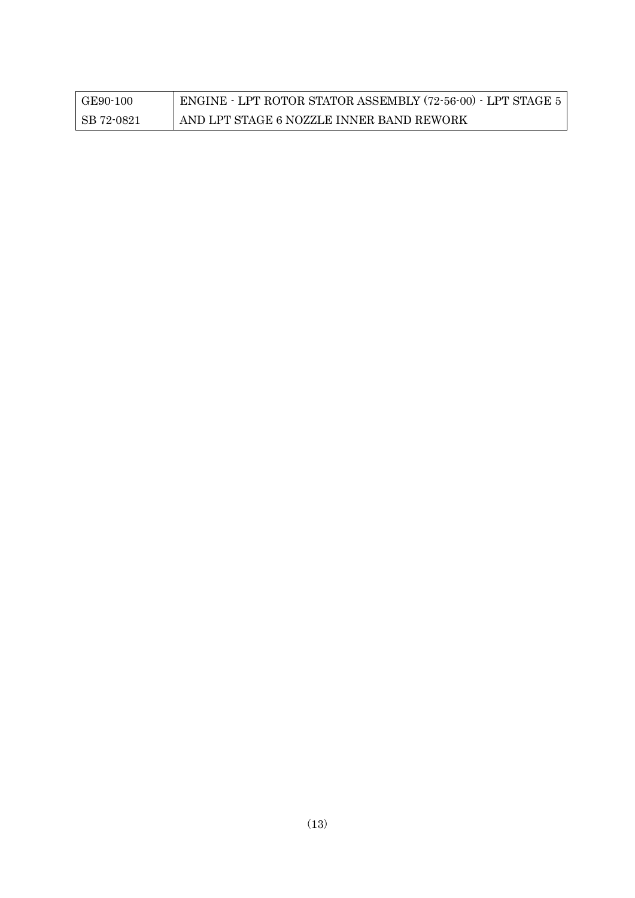| GE90-100   | ENGINE - LPT ROTOR STATOR ASSEMBLY (72-56-00) - LPT STAGE 5 |
|------------|-------------------------------------------------------------|
| SB 72-0821 | AND LPT STAGE 6 NOZZLE INNER BAND REWORK                    |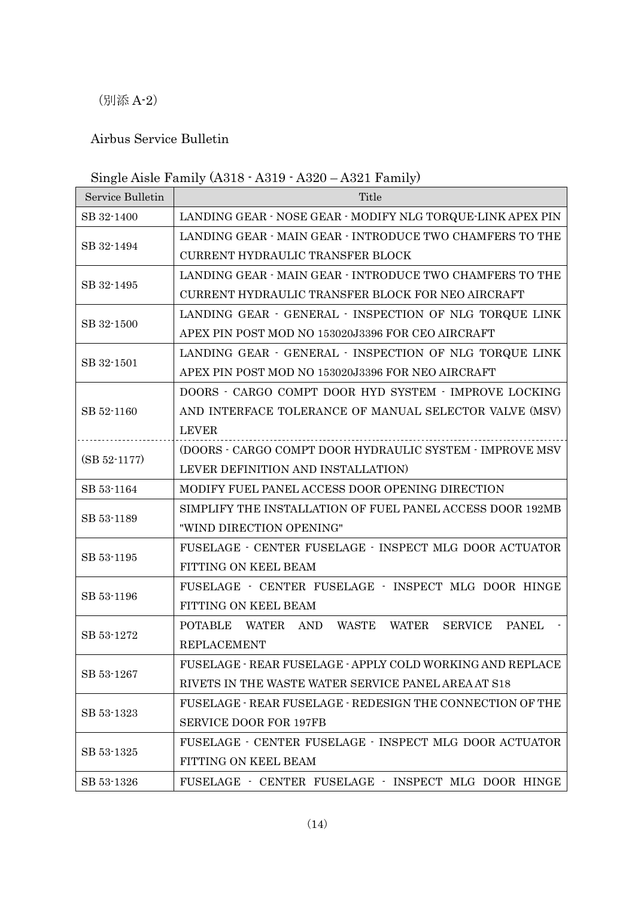(別添 A-2)

### Airbus Service Bulletin

# Single Aisle Family (A318 - A319 - A320 – A321 Family)

| Service Bulletin | Title                                                      |
|------------------|------------------------------------------------------------|
| SB 32-1400       | LANDING GEAR - NOSE GEAR - MODIFY NLG TORQUE-LINK APEX PIN |
|                  | LANDING GEAR - MAIN GEAR - INTRODUCE TWO CHAMFERS TO THE   |
| SB 32-1494       | CURRENT HYDRAULIC TRANSFER BLOCK                           |
|                  | LANDING GEAR - MAIN GEAR - INTRODUCE TWO CHAMFERS TO THE   |
| SB 32-1495       | CURRENT HYDRAULIC TRANSFER BLOCK FOR NEO AIRCRAFT          |
| SB 32-1500       | LANDING GEAR - GENERAL - INSPECTION OF NLG TORQUE LINK     |
|                  | APEX PIN POST MOD NO 153020J3396 FOR CEO AIRCRAFT          |
| SB 32-1501       | LANDING GEAR - GENERAL - INSPECTION OF NLG TORQUE LINK     |
|                  | APEX PIN POST MOD NO 153020J3396 FOR NEO AIRCRAFT          |
|                  | DOORS - CARGO COMPT DOOR HYD SYSTEM - IMPROVE LOCKING      |
| SB 52-1160       | AND INTERFACE TOLERANCE OF MANUAL SELECTOR VALVE (MSV)     |
|                  | <b>LEVER</b>                                               |
| $(SB 52-1177)$   | (DOORS - CARGO COMPT DOOR HYDRAULIC SYSTEM - IMPROVE MSV   |
|                  | LEVER DEFINITION AND INSTALLATION)                         |
| SB 53-1164       | MODIFY FUEL PANEL ACCESS DOOR OPENING DIRECTION            |
| SB 53-1189       | SIMPLIFY THE INSTALLATION OF FUEL PANEL ACCESS DOOR 192MB  |
|                  | "WIND DIRECTION OPENING"                                   |
|                  | FUSELAGE - CENTER FUSELAGE - INSPECT MLG DOOR ACTUATOR     |
| SB 53-1195       | FITTING ON KEEL BEAM                                       |
|                  | FUSELAGE - CENTER FUSELAGE - INSPECT MLG DOOR HINGE        |
| SB 53-1196       | FITTING ON KEEL BEAM                                       |
| SB 53-1272       | POTABLE WATER AND WASTE WATER<br>SERVICE PANEL             |
|                  | <b>REPLACEMENT</b>                                         |
|                  | FUSELAGE - REAR FUSELAGE - APPLY COLD WORKING AND REPLACE  |
| SB 53-1267       | RIVETS IN THE WASTE WATER SERVICE PANEL AREA AT S18        |
| SB 53-1323       | FUSELAGE - REAR FUSELAGE - REDESIGN THE CONNECTION OF THE  |
|                  | <b>SERVICE DOOR FOR 197FB</b>                              |
| SB 53-1325       | FUSELAGE - CENTER FUSELAGE - INSPECT MLG DOOR ACTUATOR     |
|                  | FITTING ON KEEL BEAM                                       |
| SB 53-1326       | FUSELAGE - CENTER FUSELAGE - INSPECT MLG DOOR HINGE        |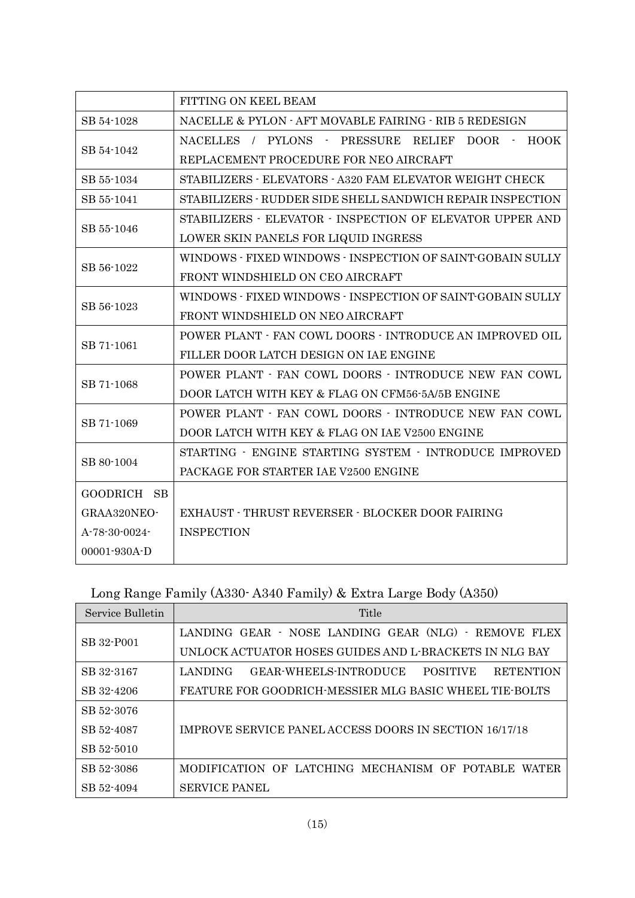|                    | FITTING ON KEEL BEAM                                         |
|--------------------|--------------------------------------------------------------|
| SB 54-1028         | NACELLE & PYLON - AFT MOVABLE FAIRING - RIB 5 REDESIGN       |
| SB 54-1042         | NACELLES / PYLONS - PRESSURE RELIEF<br><b>HOOK</b><br>DOOR - |
|                    | REPLACEMENT PROCEDURE FOR NEO AIRCRAFT                       |
| SB 55-1034         | STABILIZERS - ELEVATORS - A320 FAM ELEVATOR WEIGHT CHECK     |
| SB 55-1041         | STABILIZERS - RUDDER SIDE SHELL SANDWICH REPAIR INSPECTION   |
| SB 55-1046         | STABILIZERS - ELEVATOR - INSPECTION OF ELEVATOR UPPER AND    |
|                    | LOWER SKIN PANELS FOR LIQUID INGRESS                         |
|                    | WINDOWS - FIXED WINDOWS - INSPECTION OF SAINT-GOBAIN SULLY   |
| SB 56-1022         | FRONT WINDSHIELD ON CEO AIRCRAFT                             |
| SB 56-1023         | WINDOWS - FIXED WINDOWS - INSPECTION OF SAINT-GOBAIN SULLY   |
|                    | FRONT WINDSHIELD ON NEO AIRCRAFT                             |
| SB 71-1061         | POWER PLANT - FAN COWL DOORS - INTRODUCE AN IMPROVED OIL     |
|                    | FILLER DOOR LATCH DESIGN ON IAE ENGINE                       |
| SB 71-1068         | POWER PLANT - FAN COWL DOORS - INTRODUCE NEW FAN COWL        |
|                    | DOOR LATCH WITH KEY & FLAG ON CFM56-5A/5B ENGINE             |
| SB 71-1069         | POWER PLANT - FAN COWL DOORS - INTRODUCE NEW FAN COWL        |
|                    | DOOR LATCH WITH KEY & FLAG ON IAE V2500 ENGINE               |
| SB 80-1004         | STARTING - ENGINE STARTING SYSTEM - INTRODUCE IMPROVED       |
|                    | PACKAGE FOR STARTER IAE V2500 ENGINE                         |
| GOODRICH SB        |                                                              |
| GRAA320NEO-        | EXHAUST - THRUST REVERSER - BLOCKER DOOR FAIRING             |
| A-78-30-0024-      | <b>INSPECTION</b>                                            |
| $00001 - 930A - D$ |                                                              |

Long Range Family (A330- A340 Family) & Extra Large Body (A350)

| Service Bulletin | Title                                                                   |
|------------------|-------------------------------------------------------------------------|
| SB 32-P001       | LANDING GEAR · NOSE LANDING GEAR (NLG) · REMOVE FLEX                    |
|                  | UNLOCK ACTUATOR HOSES GUIDES AND L-BRACKETS IN NLG BAY                  |
| SB 32-3167       | LANDING<br>GEAR-WHEELS-INTRODUCE<br><b>POSITIVE</b><br><b>RETENTION</b> |
| SB 32-4206       | FEATURE FOR GOODRICH MESSIER MLG BASIC WHEEL TIE BOLTS                  |
| SB 52-3076       | IMPROVE SERVICE PANEL ACCESS DOORS IN SECTION 16/17/18                  |
| SB 52-4087       |                                                                         |
| SB 52-5010       |                                                                         |
| SB 52-3086       | MODIFICATION OF LATCHING MECHANISM OF POTABLE<br><b>WATER</b>           |
| SB 52-4094       | <b>SERVICE PANEL</b>                                                    |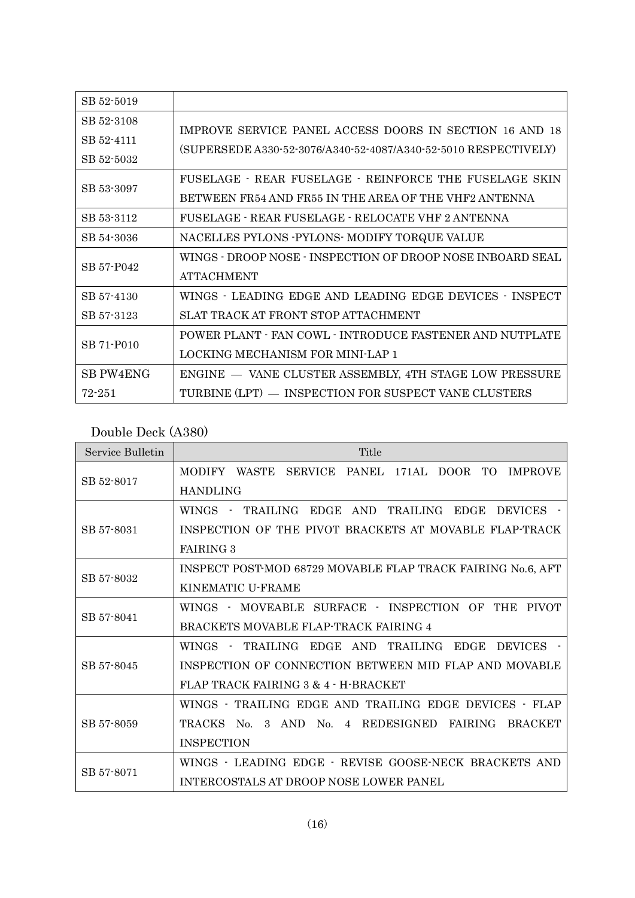| SB 52-5019       |                                                                 |
|------------------|-----------------------------------------------------------------|
| SB 52-3108       | IMPROVE SERVICE PANEL ACCESS DOORS IN SECTION 16 AND 18         |
| SB 52-4111       |                                                                 |
| SB 52-5032       | (SUPERSEDE A330-52-3076/A340-52-4087/A340-52-5010 RESPECTIVELY) |
| SB 53-3097       | FUSELAGE - REAR FUSELAGE - REINFORCE THE FUSELAGE SKIN          |
|                  | BETWEEN FR54 AND FR55 IN THE AREA OF THE VHF2 ANTENNA           |
| SB 53-3112       | FUSELAGE - REAR FUSELAGE - RELOCATE VHF 2 ANTENNA               |
| SB 54-3036       | NACELLES PYLONS - PYLONS - MODIFY TORQUE VALUE                  |
| SB 57-P042       | WINGS - DROOP NOSE - INSPECTION OF DROOP NOSE INBOARD SEAL      |
|                  | <b>ATTACHMENT</b>                                               |
| SB 57-4130       | WINGS - LEADING EDGE AND LEADING EDGE DEVICES - INSPECT         |
| SB 57-3123       | SLAT TRACK AT FRONT STOP ATTACHMENT                             |
|                  | POWER PLANT - FAN COWL - INTRODUCE FASTENER AND NUTPLATE        |
| SB 71-P010       | LOCKING MECHANISM FOR MINI-LAP 1                                |
| <b>SB PW4ENG</b> | ENGINE - VANE CLUSTER ASSEMBLY, 4TH STAGE LOW PRESSURE          |
| $72 - 251$       | TURBINE (LPT) - INSPECTION FOR SUSPECT VANE CLUSTERS            |

## Double Deck (A380)

| Service Bulletin | Title                                                                                                               |
|------------------|---------------------------------------------------------------------------------------------------------------------|
| SB 52-8017       | MODIFY<br>WASTE<br>SERVICE PANEL<br>171AL<br>DOOR.<br>TO.<br><b>IMPROVE</b>                                         |
|                  | <b>HANDLING</b>                                                                                                     |
|                  | TRAILING<br>AND<br>TRAILING EDGE<br>EDGE<br><b>DEVICES</b><br><b>WINGS</b>                                          |
| SB 57-8031       | INSPECTION OF THE PIVOT BRACKETS AT MOVABLE FLAP-TRACK                                                              |
|                  | <b>FAIRING 3</b>                                                                                                    |
| SB 57-8032       | INSPECT POST-MOD 68729 MOVABLE FLAP TRACK FAIRING No.6, AFT                                                         |
|                  | KINEMATIC U-FRAME                                                                                                   |
| SB 57-8041       | WINGS - MOVEABLE SURFACE - INSPECTION OF THE PIVOT                                                                  |
|                  | BRACKETS MOVABLE FLAP-TRACK FAIRING 4                                                                               |
|                  | <b>EDGE</b><br><b>WINGS</b><br><b>TRAILING</b><br><b>EDGE</b><br>AND<br><b>TRAILING</b><br><b>DEVICES</b><br>$\sim$ |
| SB 57-8045       | INSPECTION OF CONNECTION BETWEEN MID FLAP AND MOVABLE                                                               |
|                  | FLAP TRACK FAIRING 3 & 4 - H-BRACKET                                                                                |
| SB 57-8059       | WINGS - TRAILING EDGE AND TRAILING EDGE DEVICES - FLAP                                                              |
|                  | <b>TRACKS</b><br>$\mathcal{S}$<br>AND.<br>No.<br>REDESIGNED FAIRING<br>No.<br>$\overline{4}$<br><b>BRACKET</b>      |
|                  | <b>INSPECTION</b>                                                                                                   |
| SB 57-8071       | WINGS - LEADING EDGE - REVISE GOOSE-NECK BRACKETS AND                                                               |
|                  | INTERCOSTALS AT DROOP NOSE LOWER PANEL                                                                              |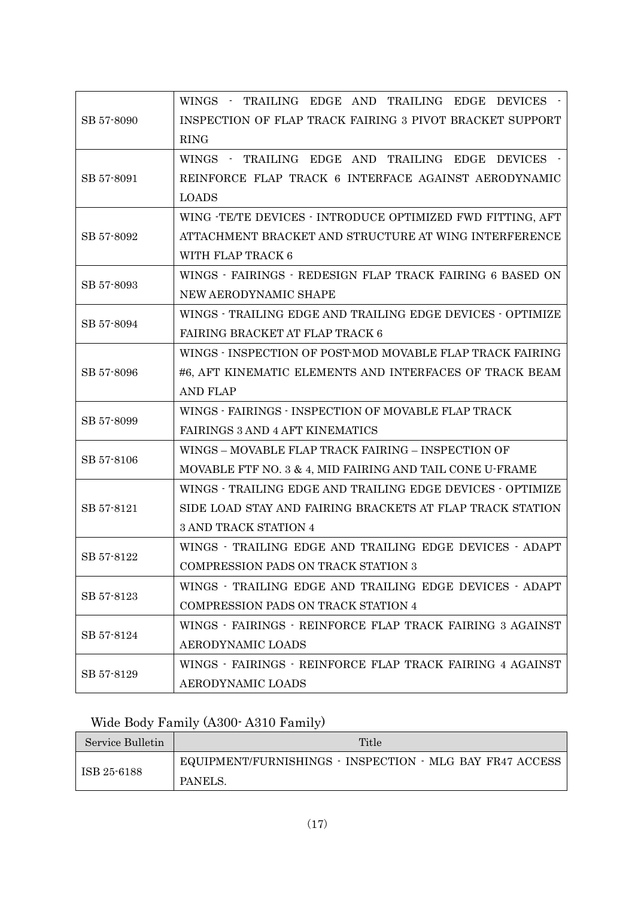| SB 57-8090 | WINGS - TRAILING EDGE AND TRAILING EDGE DEVICES -          |
|------------|------------------------------------------------------------|
|            | INSPECTION OF FLAP TRACK FAIRING 3 PIVOT BRACKET SUPPORT   |
|            | <b>RING</b>                                                |
|            | WINGS - TRAILING EDGE AND TRAILING EDGE DEVICES -          |
| SB 57-8091 | REINFORCE FLAP TRACK 6 INTERFACE AGAINST AERODYNAMIC       |
|            | <b>LOADS</b>                                               |
|            | WING -TE/TE DEVICES - INTRODUCE OPTIMIZED FWD FITTING, AFT |
| SB 57-8092 | ATTACHMENT BRACKET AND STRUCTURE AT WING INTERFERENCE      |
|            | WITH FLAP TRACK 6                                          |
|            | WINGS - FAIRINGS - REDESIGN FLAP TRACK FAIRING 6 BASED ON  |
| SB 57-8093 | NEW AERODYNAMIC SHAPE                                      |
|            | WINGS - TRAILING EDGE AND TRAILING EDGE DEVICES - OPTIMIZE |
| SB 57-8094 | FAIRING BRACKET AT FLAP TRACK 6                            |
|            | WINGS - INSPECTION OF POST-MOD MOVABLE FLAP TRACK FAIRING  |
| SB 57-8096 | #6, AFT KINEMATIC ELEMENTS AND INTERFACES OF TRACK BEAM    |
|            | <b>AND FLAP</b>                                            |
|            | WINGS - FAIRINGS - INSPECTION OF MOVABLE FLAP TRACK        |
| SB 57-8099 | FAIRINGS 3 AND 4 AFT KINEMATICS                            |
|            | WINGS - MOVABLE FLAP TRACK FAIRING - INSPECTION OF         |
| SB 57-8106 | MOVABLE FTF NO. 3 & 4, MID FAIRING AND TAIL CONE U-FRAME   |
|            | WINGS - TRAILING EDGE AND TRAILING EDGE DEVICES - OPTIMIZE |
| SB 57-8121 | SIDE LOAD STAY AND FAIRING BRACKETS AT FLAP TRACK STATION  |
|            | 3 AND TRACK STATION 4                                      |
|            | WINGS - TRAILING EDGE AND TRAILING EDGE DEVICES - ADAPT    |
| SB 57-8122 | COMPRESSION PADS ON TRACK STATION 3                        |
|            | WINGS - TRAILING EDGE AND TRAILING EDGE DEVICES - ADAPT    |
| SB 57-8123 | COMPRESSION PADS ON TRACK STATION 4                        |
|            | WINGS - FAIRINGS - REINFORCE FLAP TRACK FAIRING 3 AGAINST  |
| SB 57-8124 | AERODYNAMIC LOADS                                          |
| SB 57-8129 | WINGS - FAIRINGS - REINFORCE FLAP TRACK FAIRING 4 AGAINST  |
|            | AERODYNAMIC LOADS                                          |

# Wide Body Family (A300- A310 Family)

| Service Bulletin | Title                                                    |
|------------------|----------------------------------------------------------|
| ISB 25-6188      | EQUIPMENT/FURNISHINGS - INSPECTION - MLG BAY FR47 ACCESS |
|                  | PANELS.                                                  |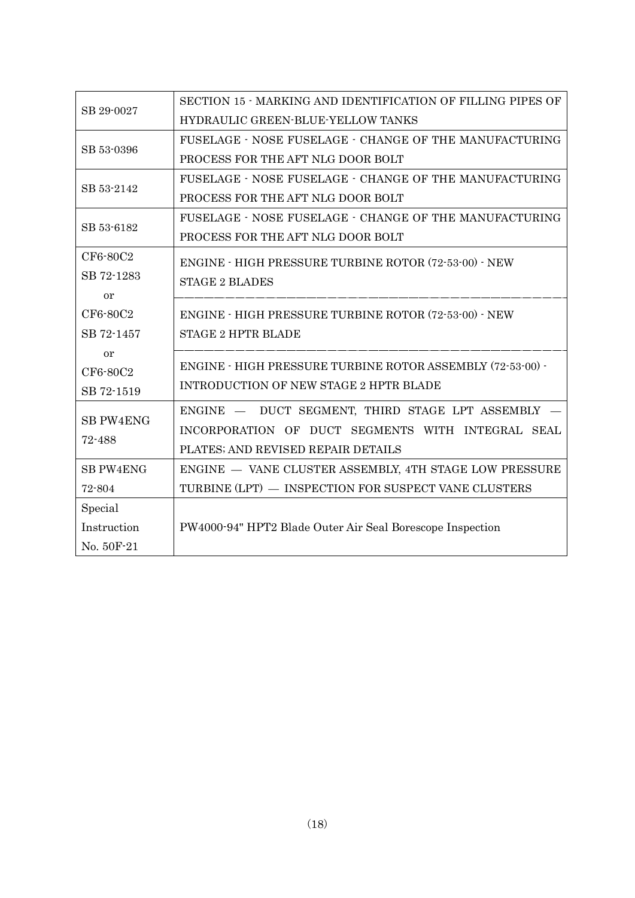| SB 29-0027       | SECTION 15 - MARKING AND IDENTIFICATION OF FILLING PIPES OF  |
|------------------|--------------------------------------------------------------|
|                  | HYDRAULIC GREEN-BLUE-YELLOW TANKS                            |
| SB 53-0396       | FUSELAGE - NOSE FUSELAGE - CHANGE OF THE MANUFACTURING       |
|                  | PROCESS FOR THE AFT NLG DOOR BOLT                            |
|                  | FUSELAGE - NOSE FUSELAGE - CHANGE OF THE MANUFACTURING       |
| SB 53-2142       | PROCESS FOR THE AFT NLG DOOR BOLT                            |
|                  | FUSELAGE - NOSE FUSELAGE - CHANGE OF THE MANUFACTURING       |
| SB 53-6182       | PROCESS FOR THE AFT NLG DOOR BOLT                            |
| CF6-80C2         | ENGINE - HIGH PRESSURE TURBINE ROTOR (72-53-00) - NEW        |
| SB 72-1283       | <b>STAGE 2 BLADES</b>                                        |
| or               |                                                              |
| CF6-80C2         | <b>ENGINE - HIGH PRESSURE TURBINE ROTOR (72-53-00) - NEW</b> |
| SB 72-1457       | <b>STAGE 2 HPTR BLADE</b>                                    |
| <b>or</b>        |                                                              |
| CF6-80C2         | ENGINE - HIGH PRESSURE TURBINE ROTOR ASSEMBLY (72-53-00) -   |
| SB 72-1519       | INTRODUCTION OF NEW STAGE 2 HPTR BLADE                       |
| <b>SB PW4ENG</b> | ENGINE - DUCT SEGMENT, THIRD STAGE LPT ASSEMBLY              |
| 72-488           | INCORPORATION OF DUCT SEGMENTS WITH INTEGRAL SEAL            |
|                  | PLATES; AND REVISED REPAIR DETAILS                           |
| <b>SB PW4ENG</b> | ENGINE - VANE CLUSTER ASSEMBLY, 4TH STAGE LOW PRESSURE       |
| 72-804           | TURBINE (LPT) - INSPECTION FOR SUSPECT VANE CLUSTERS         |
| Special          |                                                              |
| Instruction      | PW4000-94" HPT2 Blade Outer Air Seal Borescope Inspection    |
| No. 50F-21       |                                                              |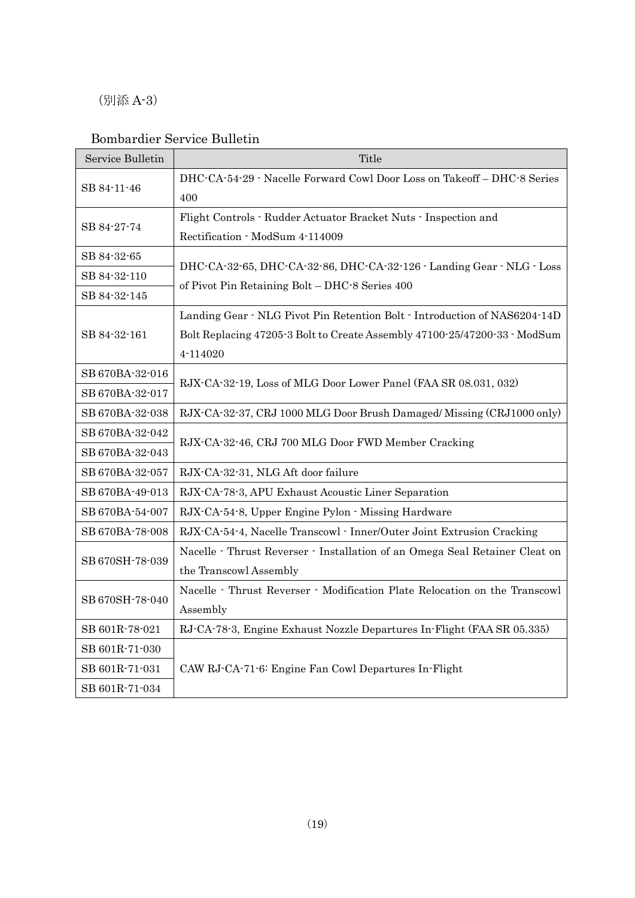(別添 A-3)

### Bombardier Service Bulletin

| Service Bulletin | Title                                                                       |
|------------------|-----------------------------------------------------------------------------|
| SB 84-11-46      | DHC-CA-54-29 - Nacelle Forward Cowl Door Loss on Takeoff - DHC-8 Series     |
|                  | 400                                                                         |
| SB 84-27-74      | Flight Controls - Rudder Actuator Bracket Nuts - Inspection and             |
|                  | Rectification - ModSum 4-114009                                             |
| SB 84-32-65      | DHC-CA-32-65, DHC-CA-32-86, DHC-CA-32-126 - Landing Gear - NLG - Loss       |
| SB 84-32-110     | of Pivot Pin Retaining Bolt - DHC-8 Series 400                              |
| SB 84-32-145     |                                                                             |
|                  | Landing Gear · NLG Pivot Pin Retention Bolt · Introduction of NAS6204-14D   |
| SB 84-32-161     | Bolt Replacing 47205-3 Bolt to Create Assembly 47100-25/47200-33 - ModSum   |
|                  | 4-114020                                                                    |
| SB 670BA-32-016  |                                                                             |
| SB 670BA-32-017  | RJX-CA-32-19, Loss of MLG Door Lower Panel (FAA SR 08.031, 032)             |
| SB 670BA-32-038  | RJX-CA-32-37, CRJ 1000 MLG Door Brush Damaged/ Missing (CRJ1000 only)       |
| SB 670BA-32-042  |                                                                             |
| SB 670BA-32-043  | RJX-CA-32-46, CRJ 700 MLG Door FWD Member Cracking                          |
| SB 670BA-32-057  | RJX-CA-32-31, NLG Aft door failure                                          |
| SB 670BA-49-013  | RJX-CA-78-3, APU Exhaust Acoustic Liner Separation                          |
| SB 670BA-54-007  | RJX-CA-54-8, Upper Engine Pylon - Missing Hardware                          |
| SB 670BA-78-008  | RJX-CA-54-4, Nacelle Transcowl - Inner/Outer Joint Extrusion Cracking       |
| SB 670SH-78-039  | Nacelle · Thrust Reverser · Installation of an Omega Seal Retainer Cleat on |
|                  | the Transcowl Assembly                                                      |
|                  | Nacelle · Thrust Reverser · Modification Plate Relocation on the Transcowl  |
| SB 670SH-78-040  | Assembly                                                                    |
| SB 601R-78-021   | RJ-CA-78-3, Engine Exhaust Nozzle Departures In-Flight (FAA SR 05.335)      |
| SB 601R-71-030   |                                                                             |
| SB 601R-71-031   | CAW RJ-CA-71-6: Engine Fan Cowl Departures In-Flight                        |
| SB 601R-71-034   |                                                                             |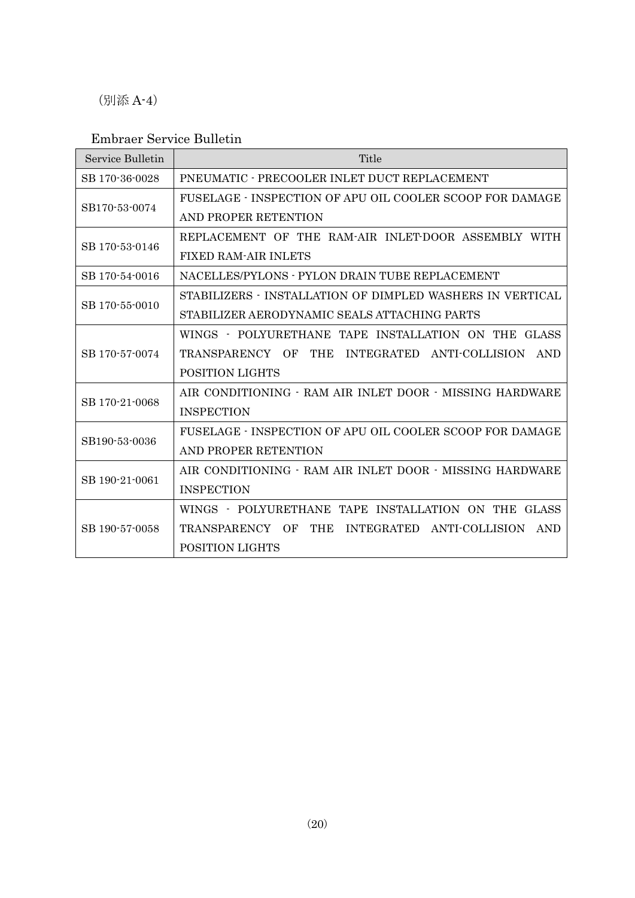(別添 A-4)

#### Embraer Service Bulletin

| Service Bulletin | Title                                                     |
|------------------|-----------------------------------------------------------|
| SB 170-36-0028   | PNEUMATIC - PRECOOLER INLET DUCT REPLACEMENT              |
| SB170-53-0074    | FUSELAGE - INSPECTION OF APU OIL COOLER SCOOP FOR DAMAGE  |
|                  | AND PROPER RETENTION                                      |
|                  | REPLACEMENT OF THE RAM-AIR INLET-DOOR ASSEMBLY WITH       |
| SB 170-53-0146   | <b>FIXED RAM-AIR INLETS</b>                               |
| SB 170-54-0016   | NACELLES/PYLONS - PYLON DRAIN TUBE REPLACEMENT            |
| SB 170-55-0010   | STABILIZERS - INSTALLATION OF DIMPLED WASHERS IN VERTICAL |
|                  | STABILIZER AERODYNAMIC SEALS ATTACHING PARTS              |
|                  | WINGS - POLYURETHANE TAPE INSTALLATION ON THE GLASS       |
| SB 170-57-0074   | TRANSPARENCY OF<br>THE INTEGRATED ANTI-COLLISION AND      |
|                  | POSITION LIGHTS                                           |
| SB 170-21-0068   | AIR CONDITIONING - RAM AIR INLET DOOR - MISSING HARDWARE  |
|                  | <b>INSPECTION</b>                                         |
| SB190-53-0036    | FUSELAGE - INSPECTION OF APU OIL COOLER SCOOP FOR DAMAGE  |
|                  | AND PROPER RETENTION                                      |
| SB 190-21-0061   | AIR CONDITIONING - RAM AIR INLET DOOR - MISSING HARDWARE  |
|                  | <b>INSPECTION</b>                                         |
| SB 190-57-0058   | WINGS - POLYURETHANE TAPE INSTALLATION ON THE GLASS       |
|                  | THE INTEGRATED ANTI-COLLISION<br>TRANSPARENCY OF<br>AND   |
|                  | <b>POSITION LIGHTS</b>                                    |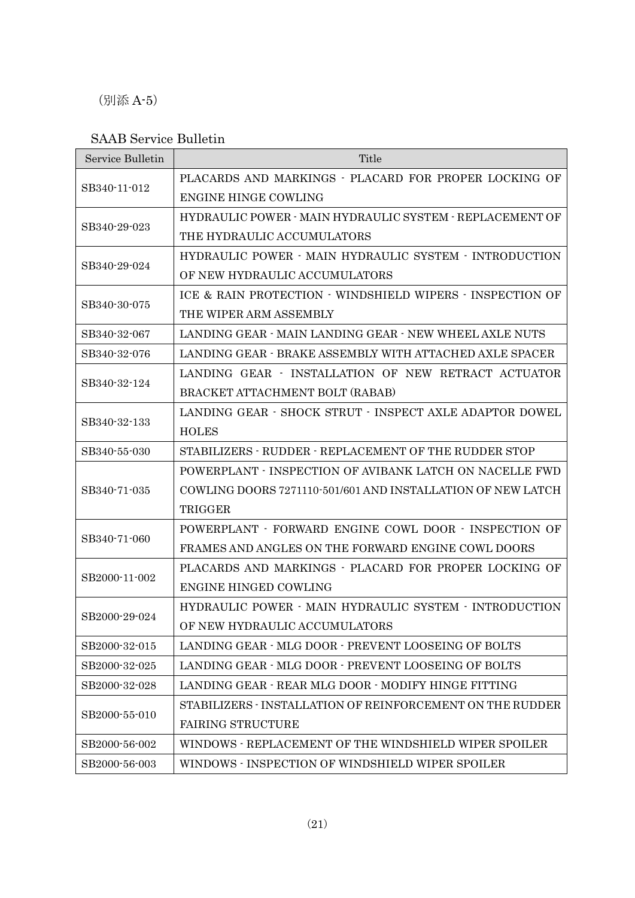(別添 A-5)

### SAAB Service Bulletin

| Service Bulletin | Title                                                       |
|------------------|-------------------------------------------------------------|
| SB340-11-012     | PLACARDS AND MARKINGS - PLACARD FOR PROPER LOCKING OF       |
|                  | <b>ENGINE HINGE COWLING</b>                                 |
|                  | HYDRAULIC POWER - MAIN HYDRAULIC SYSTEM - REPLACEMENT OF    |
| SB340-29-023     | THE HYDRAULIC ACCUMULATORS                                  |
|                  | HYDRAULIC POWER - MAIN HYDRAULIC SYSTEM - INTRODUCTION      |
| SB340-29-024     | OF NEW HYDRAULIC ACCUMULATORS                               |
|                  | ICE & RAIN PROTECTION - WINDSHIELD WIPERS - INSPECTION OF   |
| SB340-30-075     | THE WIPER ARM ASSEMBLY                                      |
| SB340-32-067     | LANDING GEAR - MAIN LANDING GEAR - NEW WHEEL AXLE NUTS      |
| SB340-32-076     | LANDING GEAR - BRAKE ASSEMBLY WITH ATTACHED AXLE SPACER     |
|                  | LANDING GEAR - INSTALLATION OF NEW RETRACT ACTUATOR         |
| SB340-32-124     | BRACKET ATTACHMENT BOLT (RABAB)                             |
|                  | LANDING GEAR · SHOCK STRUT · INSPECT AXLE ADAPTOR DOWEL     |
| SB340-32-133     | <b>HOLES</b>                                                |
| SB340-55-030     | STABILIZERS - RUDDER - REPLACEMENT OF THE RUDDER STOP       |
|                  | POWERPLANT - INSPECTION OF AVIBANK LATCH ON NACELLE FWD     |
| SB340-71-035     | COWLING DOORS 7271110-501/601 AND INSTALLATION OF NEW LATCH |
|                  | TRIGGER                                                     |
|                  | POWERPLANT - FORWARD ENGINE COWL DOOR - INSPECTION OF       |
| SB340-71-060     | FRAMES AND ANGLES ON THE FORWARD ENGINE COWL DOORS          |
|                  | PLACARDS AND MARKINGS - PLACARD FOR PROPER LOCKING OF       |
| SB2000-11-002    | <b>ENGINE HINGED COWLING</b>                                |
|                  | HYDRAULIC POWER · MAIN HYDRAULIC SYSTEM · INTRODUCTION      |
| SB2000-29-024    | OF NEW HYDRAULIC ACCUMULATORS                               |
| SB2000-32-015    | LANDING GEAR - MLG DOOR - PREVENT LOOSEING OF BOLTS         |
| SB2000-32-025    | LANDING GEAR - MLG DOOR - PREVENT LOOSEING OF BOLTS         |
| SB2000-32-028    | LANDING GEAR - REAR MLG DOOR - MODIFY HINGE FITTING         |
| SB2000-55-010    | STABILIZERS - INSTALLATION OF REINFORCEMENT ON THE RUDDER   |
|                  | <b>FAIRING STRUCTURE</b>                                    |
| SB2000-56-002    | WINDOWS - REPLACEMENT OF THE WINDSHIELD WIPER SPOILER       |
| SB2000-56-003    | WINDOWS - INSPECTION OF WINDSHIELD WIPER SPOILER            |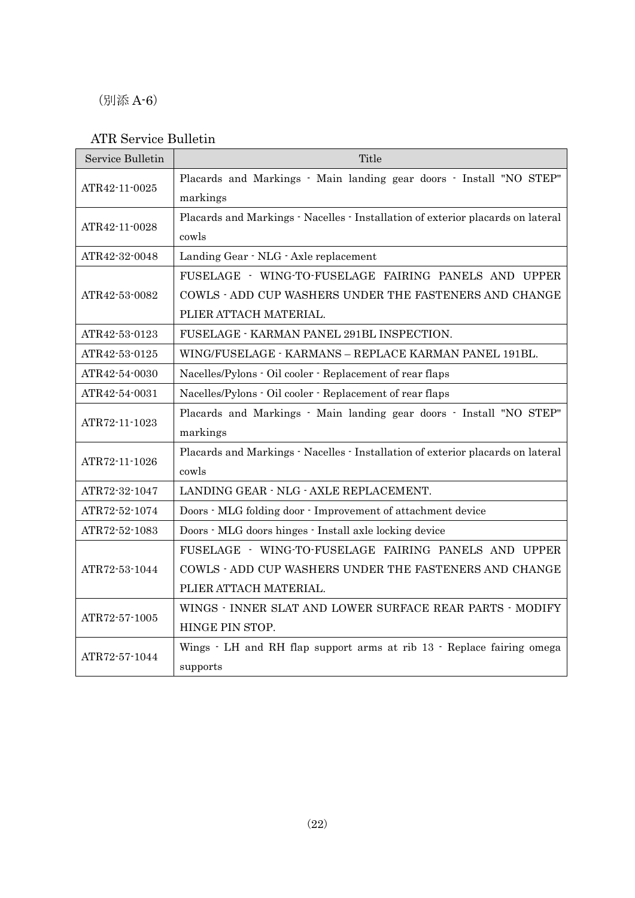(別添 A-6)

### ATR Service Bulletin

| Service Bulletin | Title                                                                           |
|------------------|---------------------------------------------------------------------------------|
| ATR42-11-0025    | Placards and Markings - Main landing gear doors - Install "NO STEP"             |
|                  | markings                                                                        |
| ATR42-11-0028    | Placards and Markings · Nacelles · Installation of exterior placards on lateral |
|                  | cowls                                                                           |
| ATR42-32-0048    | Landing Gear · NLG · Axle replacement                                           |
|                  | FUSELAGE - WING-TO-FUSELAGE FAIRING PANELS AND UPPER                            |
| ATR42-53-0082    | COWLS - ADD CUP WASHERS UNDER THE FASTENERS AND CHANGE                          |
|                  | PLIER ATTACH MATERIAL.                                                          |
| ATR42-53-0123    | FUSELAGE - KARMAN PANEL 291BL INSPECTION.                                       |
| ATR42-53-0125    | WING/FUSELAGE - KARMANS - REPLACE KARMAN PANEL 191BL.                           |
| ATR42-54-0030    | Nacelles/Pylons - Oil cooler - Replacement of rear flaps                        |
| ATR42-54-0031    | Nacelles/Pylons · Oil cooler · Replacement of rear flaps                        |
|                  | Placards and Markings - Main landing gear doors - Install "NO STEP"             |
| ATR72-11-1023    | markings                                                                        |
| ATR72-11-1026    | Placards and Markings · Nacelles · Installation of exterior placards on lateral |
|                  | cowls                                                                           |
| ATR72-32-1047    | LANDING GEAR - NLG - AXLE REPLACEMENT.                                          |
| ATR72-52-1074    | Doors - MLG folding door - Improvement of attachment device                     |
| ATR72-52-1083    | Doors - MLG doors hinges - Install axle locking device                          |
|                  | FUSELAGE - WING-TO-FUSELAGE FAIRING PANELS AND UPPER                            |
| ATR72-53-1044    | COWLS - ADD CUP WASHERS UNDER THE FASTENERS AND CHANGE                          |
|                  | PLIER ATTACH MATERIAL.                                                          |
|                  | WINGS - INNER SLAT AND LOWER SURFACE REAR PARTS - MODIFY                        |
| ATR72-57-1005    | HINGE PIN STOP.                                                                 |
| ATR72-57-1044    | Wings · LH and RH flap support arms at rib 13 · Replace fairing omega           |
|                  | supports                                                                        |